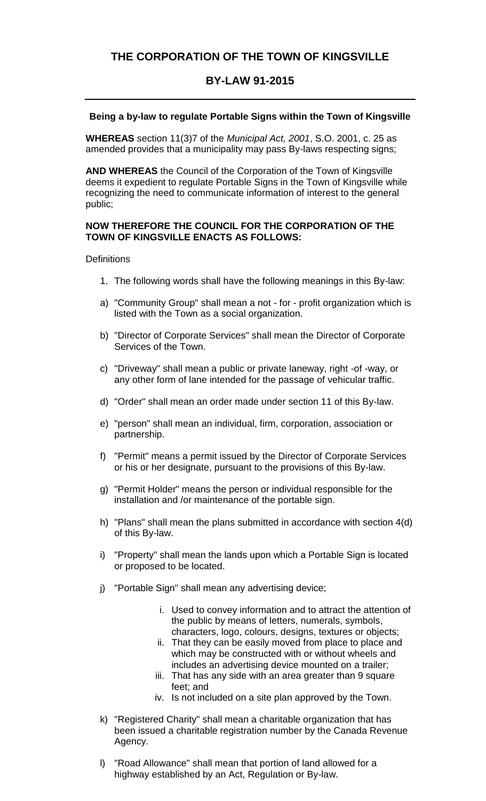# **THE CORPORATION OF THE TOWN OF KINGSVILLE**

# **BY-LAW 91-2015**

### **Being a by-law to regulate Portable Signs within the Town of Kingsville**

**WHEREAS** section 11(3)7 of the *Municipal Act, 2001*, S.O. 2001, c. 25 as amended provides that a municipality may pass By-laws respecting signs;

**AND WHEREAS** the Council of the Corporation of the Town of Kingsville deems it expedient to regulate Portable Signs in the Town of Kingsville while recognizing the need to communicate information of interest to the general public;

#### **NOW THEREFORE THE COUNCIL FOR THE CORPORATION OF THE TOWN OF KINGSVILLE ENACTS AS FOLLOWS:**

#### **Definitions**

- 1. The following words shall have the following meanings in this By-law:
- a) "Community Group" shall mean a not for profit organization which is listed with the Town as a social organization.
- b) "Director of Corporate Services" shall mean the Director of Corporate Services of the Town.
- c) "Driveway" shall mean a public or private laneway, right -of -way, or any other form of lane intended for the passage of vehicular traffic.
- d) "Order" shall mean an order made under section 11 of this By-law.
- e) "person" shall mean an individual, firm, corporation, association or partnership.
- f) "Permit" means a permit issued by the Director of Corporate Services or his or her designate, pursuant to the provisions of this By-law.
- g) "Permit Holder" means the person or individual responsible for the installation and /or maintenance of the portable sign.
- h) "Plans" shall mean the plans submitted in accordance with section 4(d) of this By-law.
- i) "Property" shall mean the lands upon which a Portable Sign is located or proposed to be located.
- j) "Portable Sign" shall mean any advertising device;
	- i. Used to convey information and to attract the attention of the public by means of letters, numerals, symbols, characters, logo, colours, designs, textures or objects;
	- ii. That they can be easily moved from place to place and which may be constructed with or without wheels and includes an advertising device mounted on a trailer;
	- iii. That has any side with an area greater than 9 square feet; and
	- iv. Is not included on a site plan approved by the Town.
- k) "Registered Charity" shall mean a charitable organization that has been issued a charitable registration number by the Canada Revenue Agency.
- l) "Road Allowance" shall mean that portion of land allowed for a highway established by an Act, Regulation or By-law.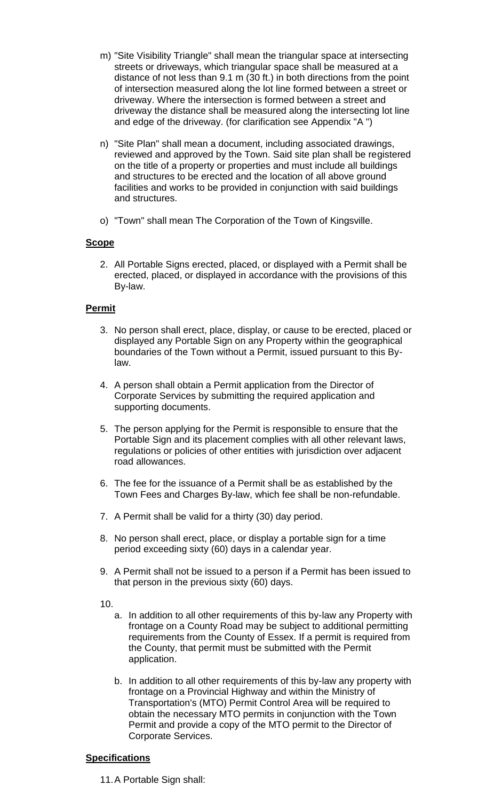- m) "Site Visibility Triangle" shall mean the triangular space at intersecting streets or driveways, which triangular space shall be measured at a distance of not less than 9.1 m (30 ft.) in both directions from the point of intersection measured along the lot line formed between a street or driveway. Where the intersection is formed between a street and driveway the distance shall be measured along the intersecting lot line and edge of the driveway. (for clarification see Appendix "A ")
- n) "Site Plan" shall mean a document, including associated drawings, reviewed and approved by the Town. Said site plan shall be registered on the title of a property or properties and must include all buildings and structures to be erected and the location of all above ground facilities and works to be provided in conjunction with said buildings and structures.
- o) "Town" shall mean The Corporation of the Town of Kingsville.

## **Scope**

2. All Portable Signs erected, placed, or displayed with a Permit shall be erected, placed, or displayed in accordance with the provisions of this By-law.

### **Permit**

- 3. No person shall erect, place, display, or cause to be erected, placed or displayed any Portable Sign on any Property within the geographical boundaries of the Town without a Permit, issued pursuant to this Bylaw.
- 4. A person shall obtain a Permit application from the Director of Corporate Services by submitting the required application and supporting documents.
- 5. The person applying for the Permit is responsible to ensure that the Portable Sign and its placement complies with all other relevant laws, regulations or policies of other entities with jurisdiction over adjacent road allowances.
- 6. The fee for the issuance of a Permit shall be as established by the Town Fees and Charges By-law, which fee shall be non-refundable.
- 7. A Permit shall be valid for a thirty (30) day period.
- 8. No person shall erect, place, or display a portable sign for a time period exceeding sixty (60) days in a calendar year.
- 9. A Permit shall not be issued to a person if a Permit has been issued to that person in the previous sixty (60) days.

10.

- a. In addition to all other requirements of this by-law any Property with frontage on a County Road may be subject to additional permitting requirements from the County of Essex. If a permit is required from the County, that permit must be submitted with the Permit application.
- b. In addition to all other requirements of this by-law any property with frontage on a Provincial Highway and within the Ministry of Transportation's (MTO) Permit Control Area will be required to obtain the necessary MTO permits in conjunction with the Town Permit and provide a copy of the MTO permit to the Director of Corporate Services.

## **Specifications**

11.A Portable Sign shall: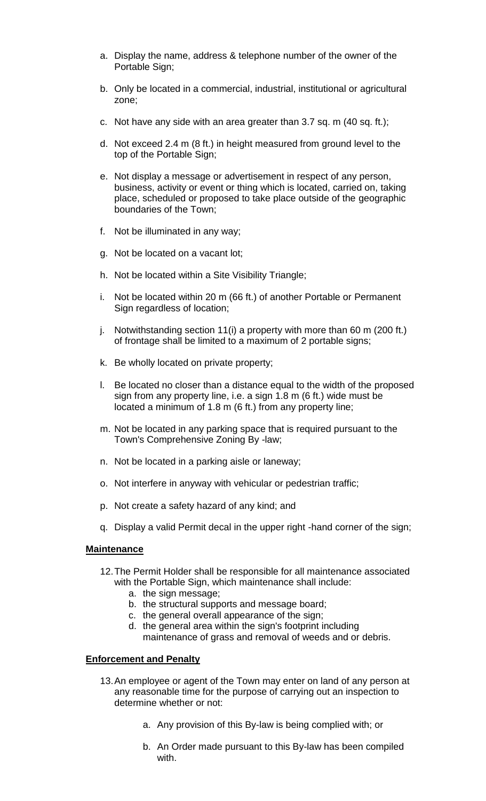- a. Display the name, address & telephone number of the owner of the Portable Sign;
- b. Only be located in a commercial, industrial, institutional or agricultural zone;
- c. Not have any side with an area greater than 3.7 sq. m (40 sq. ft.);
- d. Not exceed 2.4 m (8 ft.) in height measured from ground level to the top of the Portable Sign;
- e. Not display a message or advertisement in respect of any person, business, activity or event or thing which is located, carried on, taking place, scheduled or proposed to take place outside of the geographic boundaries of the Town;
- f. Not be illuminated in any way;
- g. Not be located on a vacant lot;
- h. Not be located within a Site Visibility Triangle;
- i. Not be located within 20 m (66 ft.) of another Portable or Permanent Sign regardless of location;
- j. Notwithstanding section 11(i) a property with more than 60 m (200 ft.) of frontage shall be limited to a maximum of 2 portable signs;
- k. Be wholly located on private property;
- l. Be located no closer than a distance equal to the width of the proposed sign from any property line, i.e. a sign 1.8 m (6 ft.) wide must be located a minimum of 1.8 m (6 ft.) from any property line;
- m. Not be located in any parking space that is required pursuant to the Town's Comprehensive Zoning By -law;
- n. Not be located in a parking aisle or laneway;
- o. Not interfere in anyway with vehicular or pedestrian traffic;
- p. Not create a safety hazard of any kind; and
- q. Display a valid Permit decal in the upper right -hand corner of the sign;

### **Maintenance**

- 12.The Permit Holder shall be responsible for all maintenance associated with the Portable Sign, which maintenance shall include:
	- a. the sign message;
	- b. the structural supports and message board;
	- c. the general overall appearance of the sign;
	- d. the general area within the sign's footprint including maintenance of grass and removal of weeds and or debris.

## **Enforcement and Penalty**

- 13.An employee or agent of the Town may enter on land of any person at any reasonable time for the purpose of carrying out an inspection to determine whether or not:
	- a. Any provision of this By-law is being complied with; or
	- b. An Order made pursuant to this By-law has been compiled with.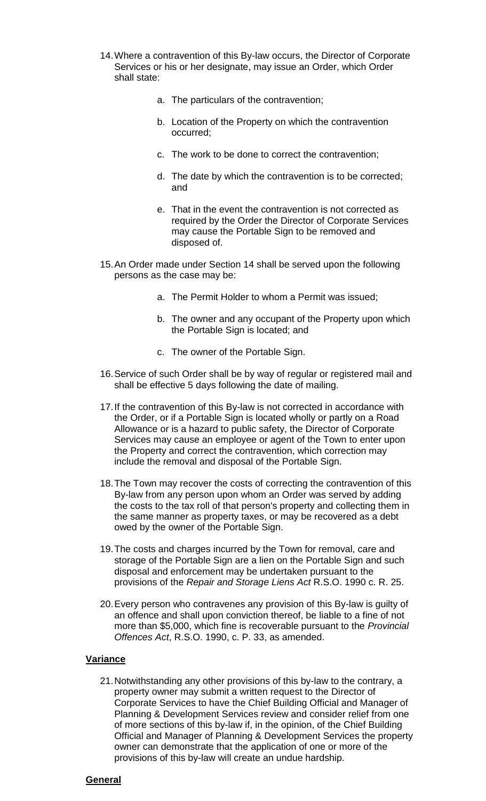- 14.Where a contravention of this By-law occurs, the Director of Corporate Services or his or her designate, may issue an Order, which Order shall state:
	- a. The particulars of the contravention;
	- b. Location of the Property on which the contravention occurred;
	- c. The work to be done to correct the contravention;
	- d. The date by which the contravention is to be corrected; and
	- e. That in the event the contravention is not corrected as required by the Order the Director of Corporate Services may cause the Portable Sign to be removed and disposed of.
- 15.An Order made under Section 14 shall be served upon the following persons as the case may be:
	- a. The Permit Holder to whom a Permit was issued;
	- b. The owner and any occupant of the Property upon which the Portable Sign is located; and
	- c. The owner of the Portable Sign.
- 16.Service of such Order shall be by way of regular or registered mail and shall be effective 5 days following the date of mailing.
- 17.If the contravention of this By-law is not corrected in accordance with the Order, or if a Portable Sign is located wholly or partly on a Road Allowance or is a hazard to public safety, the Director of Corporate Services may cause an employee or agent of the Town to enter upon the Property and correct the contravention, which correction may include the removal and disposal of the Portable Sign.
- 18.The Town may recover the costs of correcting the contravention of this By-law from any person upon whom an Order was served by adding the costs to the tax roll of that person's property and collecting them in the same manner as property taxes, or may be recovered as a debt owed by the owner of the Portable Sign.
- 19.The costs and charges incurred by the Town for removal, care and storage of the Portable Sign are a lien on the Portable Sign and such disposal and enforcement may be undertaken pursuant to the provisions of the *Repair and Storage Liens Act* R.S.O. 1990 c. R. 25.
- 20.Every person who contravenes any provision of this By-law is guilty of an offence and shall upon conviction thereof, be liable to a fine of not more than \$5,000, which fine is recoverable pursuant to the *Provincial Offences Act*, R.S.O. 1990, c. P. 33, as amended.

### **Variance**

21.Notwithstanding any other provisions of this by-law to the contrary, a property owner may submit a written request to the Director of Corporate Services to have the Chief Building Official and Manager of Planning & Development Services review and consider relief from one of more sections of this by-law if, in the opinion, of the Chief Building Official and Manager of Planning & Development Services the property owner can demonstrate that the application of one or more of the provisions of this by-law will create an undue hardship.

### **General**